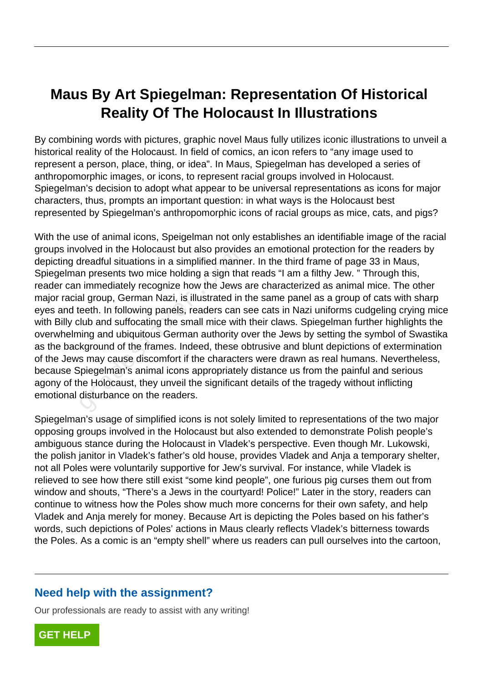## **Maus By Art Spiegelman: Representation Of Historical Reality Of The Holocaust In Illustrations**

By combining words with pictures, graphic novel Maus fully utilizes iconic illustrations to unveil a historical reality of the Holocaust. In field of comics, an icon refers to "any image used to represent a person, place, thing, or idea". In Maus, Spiegelman has developed a series of anthropomorphic images, or icons, to represent racial groups involved in Holocaust. Spiegelman's decision to adopt what appear to be universal representations as icons for major characters, thus, prompts an important question: in what ways is the Holocaust best represented by Spiegelman's anthropomorphic icons of racial groups as mice, cats, and pigs?

With the use of animal icons, Speigelman not only establishes an identifiable image of the racial groups involved in the Holocaust but also provides an emotional protection for the readers by depicting dreadful situations in a simplified manner. In the third frame of page 33 in Maus, Spiegelman presents two mice holding a sign that reads "I am a filthy Jew. " Through this, reader can immediately recognize how the Jews are characterized as animal mice. The other major racial group, German Nazi, is illustrated in the same panel as a group of cats with sharp eyes and teeth. In following panels, readers can see cats in Nazi uniforms cudgeling crying mice with Billy club and suffocating the small mice with their claws. Spiegelman further highlights the overwhelming and ubiquitous German authority over the Jews by setting the symbol of Swastika as the background of the frames. Indeed, these obtrusive and blunt depictions of extermination of the Jews may cause discomfort if the characters were drawn as real humans. Nevertheless, because Spiegelman's animal icons appropriately distance us from the painful and serious agony of the Holocaust, they unveil the significant details of the tragedy without inflicting emotional disturbance on the readers. breaction in the Frolocaust but also provide<br>Ireadful situations in a simplified mannin<br>Immediately recognize how the Jews<br>al group, German Nazi, is illustrated in<br>eeth. In following panels, readers can s<br>lub and suffocati

Spiegelman's usage of simplified icons is not solely limited to representations of the two major opposing groups involved in the Holocaust but also extended to demonstrate Polish people's ambiguous stance during the Holocaust in Vladek's perspective. Even though Mr. Lukowski, the polish janitor in Vladek's father's old house, provides Vladek and Anja a temporary shelter, not all Poles were voluntarily supportive for Jew's survival. For instance, while Vladek is relieved to see how there still exist "some kind people", one furious pig curses them out from window and shouts, "There's a Jews in the courtyard! Police!" Later in the story, readers can continue to witness how the Poles show much more concerns for their own safety, and help Vladek and Anja merely for money. Because Art is depicting the Poles based on his father's words, such depictions of Poles' actions in Maus clearly reflects Vladek's bitterness towards the Poles. As a comic is an "empty shell" where us readers can pull ourselves into the cartoon,

## **Need help with the assignment?**

Our professionals are ready to assist with any writing!

**[GET HELP](https://my.gradesfixer.com/order?utm_campaign=pdf_sample)**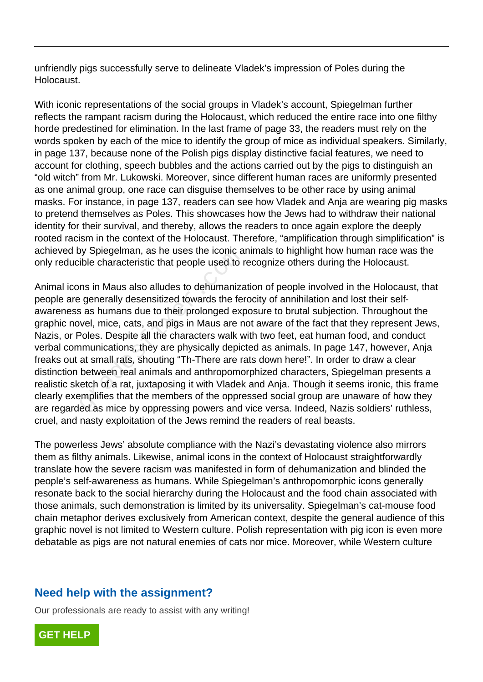unfriendly pigs successfully serve to delineate Vladek's impression of Poles during the Holocaust.

With iconic representations of the social groups in Vladek's account, Spiegelman further reflects the rampant racism during the Holocaust, which reduced the entire race into one filthy horde predestined for elimination. In the last frame of page 33, the readers must rely on the words spoken by each of the mice to identify the group of mice as individual speakers. Similarly, in page 137, because none of the Polish pigs display distinctive facial features, we need to account for clothing, speech bubbles and the actions carried out by the pigs to distinguish an "old witch" from Mr. Lukowski. Moreover, since different human races are uniformly presented as one animal group, one race can disguise themselves to be other race by using animal masks. For instance, in page 137, readers can see how Vladek and Anja are wearing pig masks to pretend themselves as Poles. This showcases how the Jews had to withdraw their national identity for their survival, and thereby, allows the readers to once again explore the deeply rooted racism in the context of the Holocaust. Therefore, "amplification through simplification" is achieved by Spiegelman, as he uses the iconic animals to highlight how human race was the only reducible characteristic that people used to recognize others during the Holocaust.

Animal icons in Maus also alludes to dehumanization of people involved in the Holocaust, that people are generally desensitized towards the ferocity of annihilation and lost their selfawareness as humans due to their prolonged exposure to brutal subjection. Throughout the graphic novel, mice, cats, and pigs in Maus are not aware of the fact that they represent Jews, Nazis, or Poles. Despite all the characters walk with two feet, eat human food, and conduct verbal communications, they are physically depicted as animals. In page 147, however, Anja freaks out at small rats, shouting "Th-There are rats down here!". In order to draw a clear distinction between real animals and anthropomorphized characters, Spiegelman presents a realistic sketch of a rat, juxtaposing it with Vladek and Anja. Though it seems ironic, this frame clearly exemplifies that the members of the oppressed social group are unaware of how they are regarded as mice by oppressing powers and vice versa. Indeed, Nazis soldiers' ruthless, cruel, and nasty exploitation of the Jews remind the readers of real beasts. by Spiegeiman, as he uses the iconic a<br>ible characteristic that people used to r<br>ns in Maus also alludes to dehumaniza<br>e generally desensitized towards the fer<br>s as humans due to their prolonged exp<br>wel, mice, cats, and pi

The powerless Jews' absolute compliance with the Nazi's devastating violence also mirrors them as filthy animals. Likewise, animal icons in the context of Holocaust straightforwardly translate how the severe racism was manifested in form of dehumanization and blinded the people's self-awareness as humans. While Spiegelman's anthropomorphic icons generally resonate back to the social hierarchy during the Holocaust and the food chain associated with those animals, such demonstration is limited by its universality. Spiegelman's cat-mouse food chain metaphor derives exclusively from American context, despite the general audience of this graphic novel is not limited to Western culture. Polish representation with pig icon is even more debatable as pigs are not natural enemies of cats nor mice. Moreover, while Western culture

## **Need help with the assignment?**

Our professionals are ready to assist with any writing!

**[GET HELP](https://my.gradesfixer.com/order?utm_campaign=pdf_sample)**